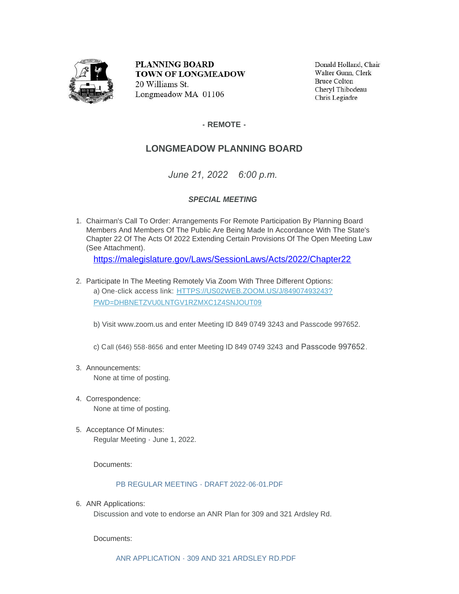

**PLANNING BOARD TOWN OF LONGMEADOW** 20 Williams St. Longmeadow MA 01106

Donald Holland, Chair Walter Gunn, Clerk **Bruce Colton** Cheryl Thibodeau Chris Legiadre

**- REMOTE -**

## **LONGMEADOW PLANNING BOARD**

*June 21, 2022 6:00 p.m.*

## *SPECIAL MEETING*

1. Chairman's Call To Order: Arrangements For Remote Participation By Planning Board Members And Members Of The Public Are Being Made In Accordance With The State's Chapter 22 Of The Acts Of 2022 Extending Certain Provisions Of The Open Meeting Law (See Attachment).

https://malegislature.gov/Laws/SessionLaws/Acts/2022/Chapter22

2. Participate In The Meeting Remotely Via Zoom With Three Different Options: a) One-click access link: [HTTPS://US02WEB.ZOOM.US/J/84907493243?](https://us02web.zoom.us/j/84907493243?pwd=dHBNeTZvU0lnTGV1RzMxc1Z4SnJoUT09) PWD=DHBNETZVU0LNTGV1RZMXC1Z4SNJOUT09

b) Visit www.zoom.us and enter Meeting ID 849 0749 3243 and Passcode 997652.

c) Call (646) 558-8656 and enter Meeting ID 849 0749 3243 and Passcode 997652.

- Announcements: 3. None at time of posting.
- 4. Correspondence: None at time of posting.
- 5. Acceptance Of Minutes: Regular Meeting - June 1, 2022.

Documents:

## [PB REGULAR MEETING - DRAFT 2022-06-01.PDF](https://www.longmeadow.org/AgendaCenter/ViewFile/Item/2406?fileID=23200)

6. ANR Applications:

Discussion and vote to endorse an ANR Plan for 309 and 321 Ardsley Rd.

Documents:

[ANR APPLICATION - 309 AND 321 ARDSLEY RD.PDF](https://www.longmeadow.org/AgendaCenter/ViewFile/Item/2407?fileID=23201)